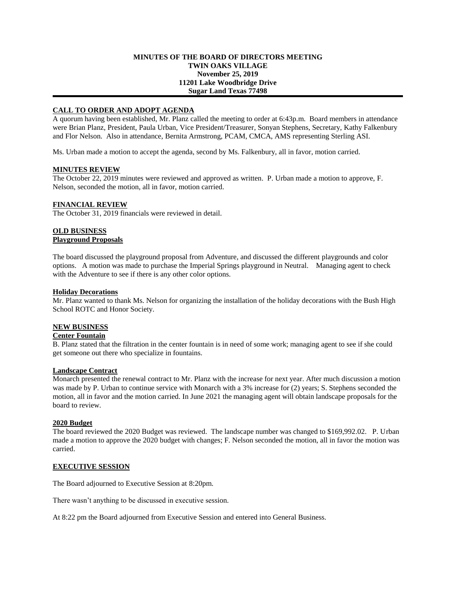#### **MINUTES OF THE BOARD OF DIRECTORS MEETING TWIN OAKS VILLAGE November 25, 2019 11201 Lake Woodbridge Drive Sugar Land Texas 77498**

## **CALL TO ORDER AND ADOPT AGENDA**

A quorum having been established, Mr. Planz called the meeting to order at 6:43p.m. Board members in attendance were Brian Planz, President, Paula Urban, Vice President/Treasurer, Sonyan Stephens, Secretary, Kathy Falkenbury and Flor Nelson. Also in attendance, Bernita Armstrong, PCAM, CMCA, AMS representing Sterling ASI.

Ms. Urban made a motion to accept the agenda, second by Ms. Falkenbury, all in favor, motion carried.

#### **MINUTES REVIEW**

The October 22, 2019 minutes were reviewed and approved as written. P. Urban made a motion to approve, F. Nelson, seconded the motion, all in favor, motion carried.

### **FINANCIAL REVIEW**

The October 31, 2019 financials were reviewed in detail.

## **OLD BUSINESS Playground Proposals**

The board discussed the playground proposal from Adventure, and discussed the different playgrounds and color options. A motion was made to purchase the Imperial Springs playground in Neutral. Managing agent to check with the Adventure to see if there is any other color options.

#### **Holiday Decorations**

Mr. Planz wanted to thank Ms. Nelson for organizing the installation of the holiday decorations with the Bush High School ROTC and Honor Society.

#### **NEW BUSINESS**

#### **Center Fountain**

B. Planz stated that the filtration in the center fountain is in need of some work; managing agent to see if she could get someone out there who specialize in fountains.

# **Landscape Contract**

Monarch presented the renewal contract to Mr. Planz with the increase for next year. After much discussion a motion was made by P. Urban to continue service with Monarch with a 3% increase for (2) years; S. Stephens seconded the motion, all in favor and the motion carried. In June 2021 the managing agent will obtain landscape proposals for the board to review.

#### **2020 Budget**

The board reviewed the 2020 Budget was reviewed. The landscape number was changed to \$169,992.02. P. Urban made a motion to approve the 2020 budget with changes; F. Nelson seconded the motion, all in favor the motion was carried.

#### **EXECUTIVE SESSION**

The Board adjourned to Executive Session at 8:20pm.

There wasn't anything to be discussed in executive session.

At 8:22 pm the Board adjourned from Executive Session and entered into General Business.